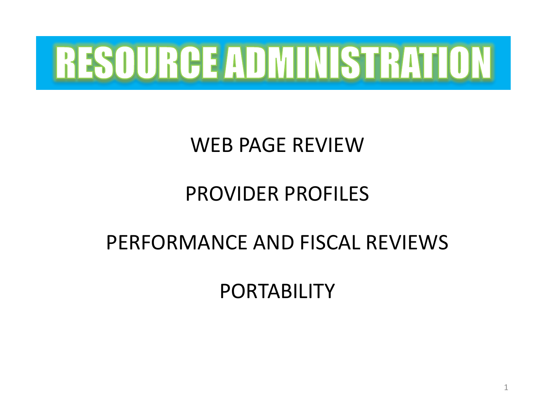

## WEB PAGE REVIEW

## PROVIDER PROFILES

## PERFORMANCE AND FISCAL REVIEWS

PORTABILITY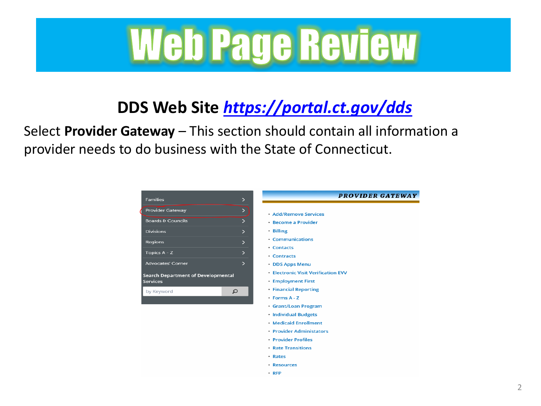# Web Page Review

## **DDS Web Site** *<https://portal.ct.gov/dds>*

Select **Provider Gateway** – This section should contain all information a provider needs to do business with the State of Connecticut.

| <b>Families</b>                    | $\mathbf{L}$           |
|------------------------------------|------------------------|
| <b>Provider Gateway</b>            | $\mathbf{z}$           |
| <b>Boards &amp; Councils</b>       | ⋗                      |
| <b>Divisions</b>                   | ⋗                      |
| Regions                            | $\mathbf{\mathcal{P}}$ |
| Topics A - Z                       | $\mathbf{L}$           |
| <b>Advocates' Corner</b>           | $\mathbf{L}$           |
| Search Department of Developmental |                        |
| <b>Services</b>                    |                        |
| $\Omega$<br>by Keyword             |                        |
|                                    |                        |
|                                    |                        |
|                                    |                        |
|                                    |                        |
|                                    |                        |
|                                    |                        |

- Rates
- · Resources
- $\cdot$  RFP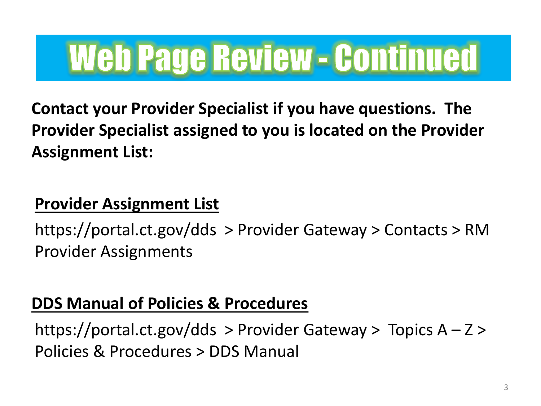## **Web Page Review - Continued**

**Contact your Provider Specialist if you have questions. The Provider Specialist assigned to you is located on the Provider Assignment List:**

### **Provider Assignment List**

https://portal.ct.gov/dds > Provider Gateway > Contacts > RM Provider Assignments

### **DDS Manual of Policies & Procedures**

https://portal.ct.gov/dds > Provider Gateway > Topics  $A - Z$  > Policies & Procedures > DDS Manual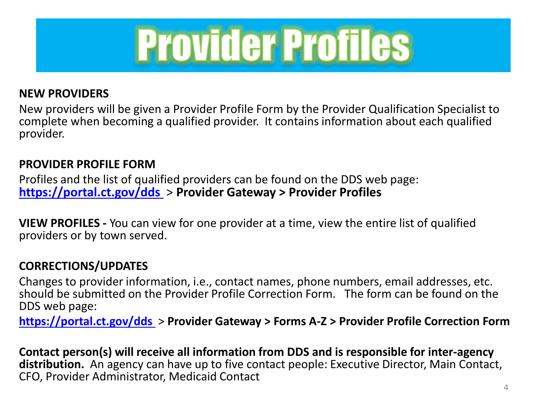

#### **NEW PROVIDERS**

New providers will be given a Provider Profile Form by the Provider Qualification Specialist to complete when becoming a qualified provider. It contains information about each qualified provider.

#### **PROVIDER PROFILE FORM**

Profiles and the list of qualified providers can be found on the DDS web page: **<https://portal.ct.gov/dds>**> **Provider Gateway > Provider Profiles**

**VIEW PROFILES -** You can view for one provider at a time, view the entire list of qualified providers or by town served.

#### **CORRECTIONS/UPDATES**

Changes to provider information, i.e., contact names, phone numbers, email addresses, etc. should be submitted on the Provider Profile Correction Form. The form can be found on the DDS web page:

**<https://portal.ct.gov/dds>**> **Provider Gateway > Forms A-Z > Provider Profile Correction Form**

**Contact person(s) will receive all information from DDS and is responsible for inter-agency distribution.** An agency can have up to five contact people: Executive Director, Main Contact, CFO, Provider Administrator, Medicaid Contact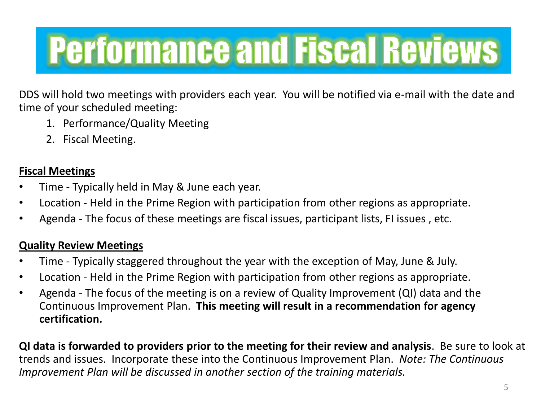## **Performance and Fiscal Reviews**

DDS will hold two meetings with providers each year. You will be notified via e-mail with the date and time of your scheduled meeting:

- 1. Performance/Quality Meeting
- 2. Fiscal Meeting.

#### **Fiscal Meetings**

- Time Typically held in May & June each year.
- Location Held in the Prime Region with participation from other regions as appropriate.
- Agenda The focus of these meetings are fiscal issues, participant lists, FI issues , etc.

#### **Quality Review Meetings**

- Time Typically staggered throughout the year with the exception of May, June & July.
- Location Held in the Prime Region with participation from other regions as appropriate.
- Agenda The focus of the meeting is on a review of Quality Improvement (QI) data and the Continuous Improvement Plan. **This meeting will result in a recommendation for agency certification.**

**QI data is forwarded to providers prior to the meeting for their review and analysis**. Be sure to look at trends and issues. Incorporate these into the Continuous Improvement Plan. *Note: The Continuous Improvement Plan will be discussed in another section of the training materials.*